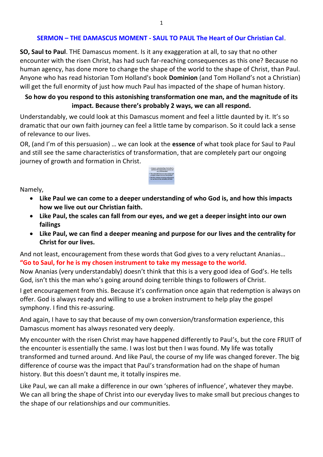#### **SERMON – THE DAMASCUS MOMENT - SAUL TO PAUL The Heart of Our Christian Cal**.

**SO, Saul to Paul**. THE Damascus moment. Is it any exaggeration at all, to say that no other encounter with the risen Christ, has had such far-reaching consequences as this one? Because no human agency, has done more to change the shape of the world to the shape of Christ, than Paul. Anyone who has read historian Tom Holland's book **Dominion** (and Tom Holland's not a Christian) will get the full enormity of just how much Paul has impacted of the shape of human history.

## **So how do you respond to this astonishing transformation one man, and the magnitude of its impact. Because there's probably 2 ways, we can all respond.**

Understandably, we could look at this Damascus moment and feel a little daunted by it. It's so dramatic that our own faith journey can feel a little tame by comparison. So it could lack a sense of relevance to our lives.

OR, (and I'm of this persuasion) … we can look at the **essence** of what took place for Saul to Paul and still see the same characteristics of transformation, that are completely part our ongoing journey of growth and formation in Christ.



Namely,

- **Like Paul we can come to a deeper understanding of who God is, and how this impacts how we live out our Christian faith.**
- **Like Paul, the scales can fall from our eyes, and we get a deeper insight into our own failings**
- **Like Paul, we can find a deeper meaning and purpose for our lives and the centrality for Christ for our lives.**

And not least, encouragement from these words that God gives to a very reluctant Ananias… **"Go to Saul, for he is my chosen instrument to take my message to the world.** 

Now Ananias (very understandably) doesn't think that this is a very good idea of God's. He tells God, isn't this the man who's going around doing terrible things to followers of Christ.

I get encouragement from this. Because it's confirmation once again that redemption is always on offer. God is always ready and willing to use a broken instrument to help play the gospel symphony. I find this re-assuring.

And again, I have to say that because of my own conversion/transformation experience, this Damascus moment has always resonated very deeply.

My encounter with the risen Christ may have happened differently to Paul's, but the core FRUIT of the encounter is essentially the same. I was lost but then I was found. My life was totally transformed and turned around. And like Paul, the course of my life was changed forever. The big difference of course was the impact that Paul's transformation had on the shape of human history. But this doesn't daunt me, it totally inspires me.

Like Paul, we can all make a difference in our own 'spheres of influence', whatever they maybe. We can all bring the shape of Christ into our everyday lives to make small but precious changes to the shape of our relationships and our communities.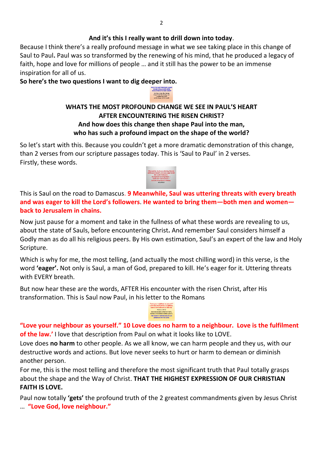#### **And it's this I really want to drill down into today**.

Because I think there's a really profound message in what we see taking place in this change of Saul to Paul**.** Paul was so transformed by the renewing of his mind, that he produced a legacy of faith, hope and love for millions of people … and it still has the power to be an immense inspiration for all of us.

**So here's the two questions I want to dig deeper into.** 

## **WHATS THE MOST PROFOUND CHANGE WE SEE IN PAUL'S HEART AFTER ENCOUNTERING THE RISEN CHRIST? And how does this change then shape Paul into the man, who has such a profound impact on the shape of the world?**

So let's start with this. Because you couldn't get a more dramatic demonstration of this change, than 2 verses from our scripture passages today. This is 'Saul to Paul' in 2 verses. Firstly, these words.



This is Saul on the road to Damascus. **9 Meanwhile, Saul was uttering threats with every breath and was eager to kill the Lord's followers**. **He wanted to bring them—both men and women back to Jerusalem in chains.** 

Now just pause for a moment and take in the fullness of what these words are revealing to us, about the state of Sauls, before encountering Christ**.** And remember Saul considers himself a Godly man as do all his religious peers. By His own estimation, Saul's an expert of the law and Holy Scripture.

Which is why for me, the most telling, (and actually the most chilling word) in this verse, is the word **'eager'.** Not only is Saul, a man of God, prepared to kill. He's eager for it. Uttering threats with EVERY breath.

But now hear these are the words, AFTER His encounter with the risen Christ, after His transformation. This is Saul now Paul, in his letter to the Romans



**"Love your neighbour as yourself." 10 Love does no harm to a neighbour. Love is the fulfilment of the law.'** I love that description from Paul on what it looks like to LOVE.

Love does **no harm** to other people. As we all know, we can harm people and they us, with our destructive words and actions. But love never seeks to hurt or harm to demean or diminish another person.

For me, this is the most telling and therefore the most significant truth that Paul totally grasps about the shape and the Way of Christ. **THAT THE HIGHEST EXPRESSION OF OUR CHRISTIAN FAITH IS LOVE.**

Paul now totally **'gets'** the profound truth of the 2 greatest commandments given by Jesus Christ … **"Love God, love neighbour."**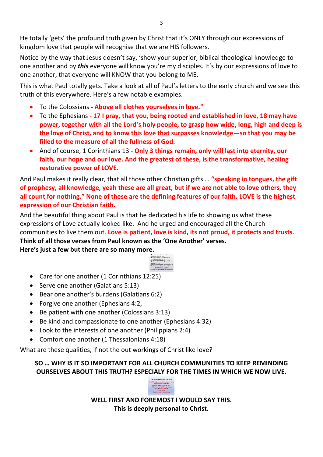He totally 'gets' the profound truth given by Christ that it's ONLY through our expressions of kingdom love that people will recognise that we are HIS followers.

Notice by the way that Jesus doesn't say, 'show your superior, biblical theological knowledge to one another and by *this* everyone will know you're my disciples. It's by our expressions of love to one another, that everyone will KNOW that you belong to ME.

This is what Paul totally gets. Take a look at all of Paul's letters to the early church and we see this truth of this everywhere. Here's a few notable examples.

- To the Colossians **Above all clothes yourselves in love."**
- To the Ephesians  **17 I pray, that you, being rooted and established in love, 18 may have power, together with all the Lord's holy people, to grasp how wide, long, high and deep is the love of Christ, and to know this love that surpasses knowledge—so that you may be filled to the measure of all the fullness of God.**
- And of course, 1 Corinthians 13  **Only 3 things remain, only will last into eternity, our faith, our hope and our love. And the greatest of these, is the transformative, healing restorative power of LOVE.**

And Paul makes it really clear, that all those other Christian gifts … **"speaking in tongues, the gift of prophesy, all knowledge, yeah these are all great, but if we are not able to love others, they all count for nothing." None of these are the defining features of our faith. LOVE is the highest expression of our Christian faith.** 

And the beautiful thing about Paul is that he dedicated his life to showing us what these expressions of Love actually looked like. And he urged and encouraged all the Church communities to live them out. **Love is patient, love is kind, its not proud, it protects and trusts**. **Think of all those verses from Paul known as the 'One Another' verses.** 

**Here's just a few but there are so many more.** 



- Care for one another (1 Corinthians 12:25)
- Serve one another (Galatians 5:13)
- Bear one another's burdens (Galatians 6:2)
- Forgive one another (Ephesians 4:2,
- Be patient with one another (Colossians 3:13)
- Be kind and compassionate to one another (Ephesians 4:32)
- Look to the interests of one another (Philippians 2:4)
- Comfort one another (1 Thessalonians 4:18)

What are these qualities, if not the out workings of Christ like love?

# **SO … WHY IS IT SO IMPORTANT FOR ALL CHURCH COMMUNITIES TO KEEP REMINDING OURSELVES ABOUT THIS TRUTH? ESPECIALY FOR THE TIMES IN WHICH WE NOW LIVE.**



**WELL FIRST AND FOREMOST I WOULD SAY THIS. This is deeply personal to Christ.**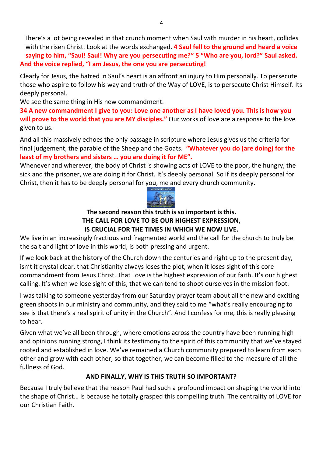There's a lot being revealed in that crunch moment when Saul with murder in his heart, collides with the risen Christ. Look at the words exchanged. **4 Saul fell to the ground and heard a voice saying to him, "Saul! Saul! Why are you persecuting me?" 5 "Who are you, lord?" Saul asked. And the voice replied, "I am Jesus, the one you are persecuting!** 

Clearly for Jesus, the hatred in Saul's heart is an affront an injury to Him personally. To persecute those who aspire to follow his way and truth of the Way of LOVE, is to persecute Christ Himself. Its deeply personal.

We see the same thing in His new commandment.

**34 A new commandment I give to you: Love one another as I have loved you. This is how you will prove to the world that you are MY disciples."** Our works of love are a response to the love given to us.

And all this massively echoes the only passage in scripture where Jesus gives us the criteria for final judgement, the parable of the Sheep and the Goats. **"Whatever you do (are doing) for the least of my brothers and sisters … you are doing it for ME".** 

Whenever and wherever, the body of Christ is showing acts of LOVE to the poor, the hungry, the sick and the prisoner, we are doing it for Christ. It's deeply personal. So if its deeply personal for Christ, then it has to be deeply personal for you, me and every church community.



## **The second reason this truth is so important is this. THE CALL FOR LOVE TO BE OUR HIGHEST EXPRESSION, IS CRUCIAL FOR THE TIMES IN WHICH WE NOW LIVE.**

We live in an increasingly fractious and fragmented world and the call for the church to truly be the salt and light of love in this world, is both pressing and urgent.

If we look back at the history of the Church down the centuries and right up to the present day, isn't it crystal clear, that Christianity always loses the plot, when it loses sight of this core commandment from Jesus Christ. That Love is the highest expression of our faith. It's our highest calling. It's when we lose sight of this, that we can tend to shoot ourselves in the mission foot.

I was talking to someone yesterday from our Saturday prayer team about all the new and exciting green shoots in our ministry and community, and they said to me "what's really encouraging to see is that there's a real spirit of unity in the Church". And I confess for me, this is really pleasing to hear.

Given what we've all been through, where emotions across the country have been running high and opinions running strong, I think its testimony to the spirit of this community that we've stayed rooted and established in love. We've remained a Church community prepared to learn from each other and grow with each other, so that together, we can become filled to the measure of all the fullness of God.

# **AND FINALLY, WHY IS THIS TRUTH SO IMPORTANT?**

Because I truly believe that the reason Paul had such a profound impact on shaping the world into the shape of Christ… is because he totally grasped this compelling truth. The centrality of LOVE for our Christian Faith.